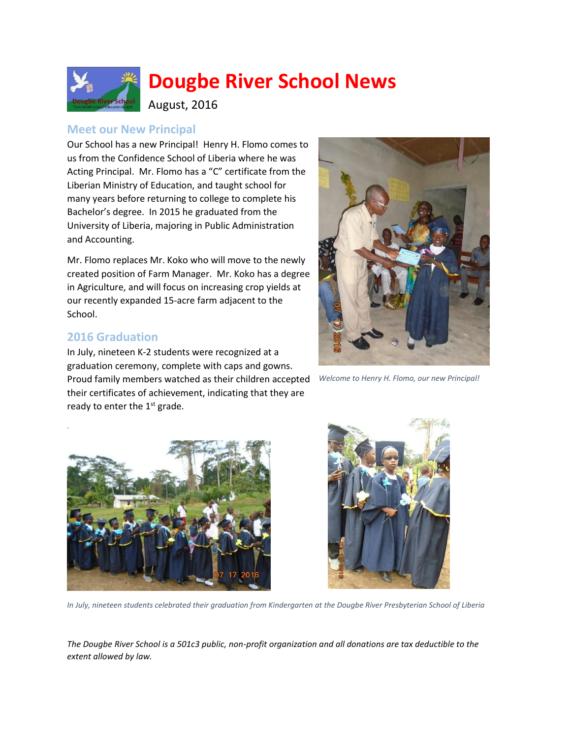

# **Dougbe River School News**

August, 2016

## **Meet our New Principal**

Our School has a new Principal! Henry H. Flomo comes to us from the Confidence School of Liberia where he was Acting Principal. Mr. Flomo has a "C" certificate from the Liberian Ministry of Education, and taught school for many years before returning to college to complete his Bachelor's degree. In 2015 he graduated from the University of Liberia, majoring in Public Administration and Accounting.

Mr. Flomo replaces Mr. Koko who will move to the newly created position of Farm Manager. Mr. Koko has a degree in Agriculture, and will focus on increasing crop yields at our recently expanded 15-acre farm adjacent to the School.

### **2016 Graduation**

In July, nineteen K-2 students were recognized at a graduation ceremony, complete with caps and gowns. Proud family members watched as their children accepted their certificates of achievement, indicating that they are ready to enter the  $1<sup>st</sup>$  grade.



*Welcome to Henry H. Flomo, our new Principal!*





*In July, nineteen students celebrated their graduation from Kindergarten at the Dougbe River Presbyterian School of Liberia*

*The Dougbe River School is a 501c3 public, non-profit organization and all donations are tax deductible to the extent allowed by law.*